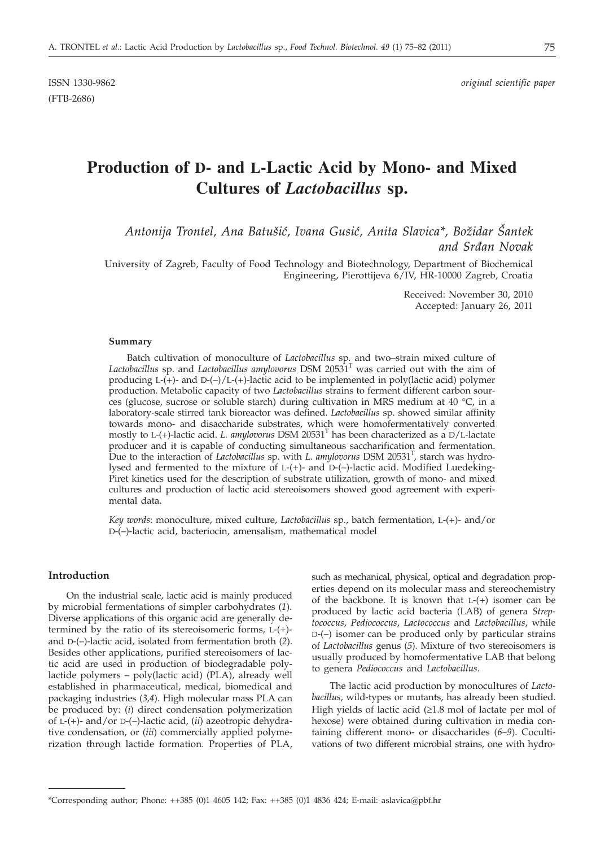ISSN 1330-9862 *original scientific paper*

# **Production of D- and L-Lactic Acid by Mono- and Mixed Cultures of** *Lactobacillus* **sp.**

*Antonija Trontel, Ana Batu{i}, Ivana Gusi}, Anita Slavica\*, Bo`idar [antek and Sr|an Novak*

University of Zagreb, Faculty of Food Technology and Biotechnology, Department of Biochemical Engineering, Pierottijeva 6/IV, HR-10000 Zagreb, Croatia

> Received: November 30, 2010 Accepted: January 26, 2011

#### **Summary**

Batch cultivation of monoculture of *Lactobacillus* sp*.* and two–strain mixed culture of *Lactobacillus* sp. and *Lactobacillus amylovorus* DSM 20531T was carried out with the aim of producing  $L-(+)$ - and  $D-(-)/L-(+)$ -lactic acid to be implemented in poly(lactic acid) polymer production. Metabolic capacity of two *Lactobacillus* strains to ferment different carbon sources (glucose, sucrose or soluble starch) during cultivation in MRS medium at 40 °C, in a laboratory-scale stirred tank bioreactor was defined. *Lactobacillus* sp. showed similar affinity towards mono- and disaccharide substrates, which were homofermentatively converted mostly to L-(+)-lactic acid. *L. amylovorus* DSM 20531T has been characterized as a D/L-lactate producer and it is capable of conducting simultaneous saccharification and fermentation. Due to the interaction of *Lactobacillus* sp. with *L. amylovorus* DSM 20531<sup>T</sup>, starch was hydrolysed and fermented to the mixture of L-(+)- and D-(–)-lactic acid. Modified Luedeking-Piret kinetics used for the description of substrate utilization, growth of mono- and mixed cultures and production of lactic acid stereoisomers showed good agreement with experimental data.

*Key words*: monoculture, mixed culture, *Lactobacillus* sp., batch fermentation, L-(+)- and/or D-(–)-lactic acid, bacteriocin, amensalism, mathematical model

## **Introduction**

On the industrial scale, lactic acid is mainly produced by microbial fermentations of simpler carbohydrates (*1*). Diverse applications of this organic acid are generally determined by the ratio of its stereoisomeric forms, L-(+) and D-(–)-lactic acid, isolated from fermentation broth (*2*). Besides other applications, purified stereoisomers of lactic acid are used in production of biodegradable polylactide polymers – poly(lactic acid) (PLA), already well established in pharmaceutical, medical, biomedical and packaging industries (*3,4*). High molecular mass PLA can be produced by: (*i*) direct condensation polymerization of L-(+)- and/or D-(–)-lactic acid, (*ii*) azeotropic dehydrative condensation, or (*iii*) commercially applied polymerization through lactide formation. Properties of PLA, such as mechanical, physical, optical and degradation properties depend on its molecular mass and stereochemistry of the backbone. It is known that  $L-(+)$  isomer can be produced by lactic acid bacteria (LAB) of genera *Streptococcus*, *Pediococcus*, *Lactococcus* and *Lactobacillus*, while D-(–) isomer can be produced only by particular strains of *Lactobacillus* genus (*5*). Mixture of two stereoisomers is usually produced by homofermentative LAB that belong to genera *Pediococcus* and *Lactobacillus*.

The lactic acid production by monocultures of *Lactobacillus*, wild-types or mutants, has already been studied. High yields of lactic acid  $(≥1.8 \text{ mol of } ]$  lactate per mol of hexose) were obtained during cultivation in media containing different mono- or disaccharides (*6–9*). Cocultivations of two different microbial strains, one with hydro-

<sup>\*</sup>Corresponding author; Phone: ++385 (0)1 4605 142; Fax: ++385 (0)1 4836 424; E-mail: aslavica@pbf.hr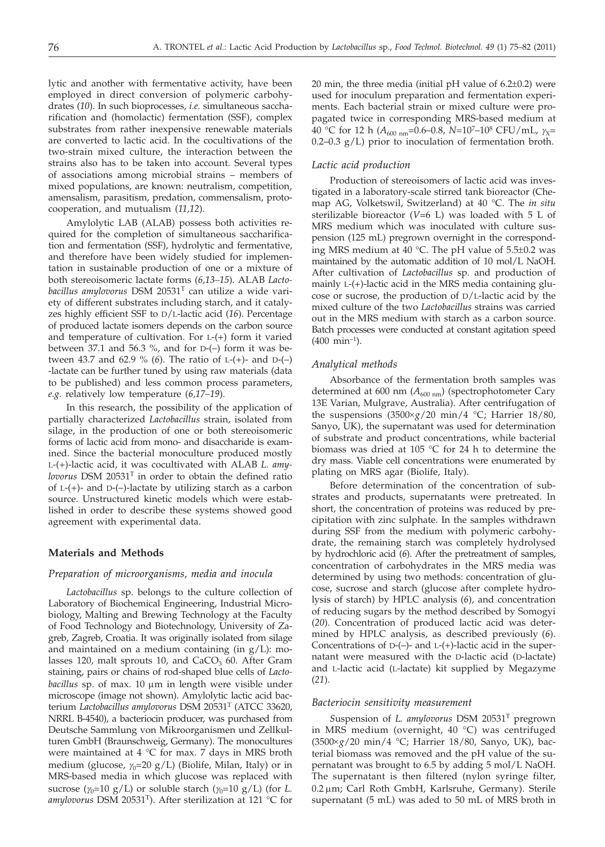lytic and another with fermentative activity, have been employed in direct conversion of polymeric carbohydrates (*10*). In such bioprocesses, *i.e.* simultaneous saccharification and (homolactic) fermentation (SSF), complex substrates from rather inexpensive renewable materials are converted to lactic acid. In the cocultivations of the two-strain mixed culture, the interaction between the strains also has to be taken into account. Several types of associations among microbial strains – members of mixed populations, are known: neutralism, competition, amensalism, parasitism, predation, commensalism, protocooperation, and mutualism (*11,12*).

Amylolytic LAB (ALAB) possess both activities required for the completion of simultaneous saccharification and fermentation (SSF), hydrolytic and fermentative, and therefore have been widely studied for implementation in sustainable production of one or a mixture of both stereoisomeric lactate forms (*6,13–15*). ALAB *Lactobacillus amylovorus* DSM 20531T can utilize a wide variety of different substrates including starch, and it catalyzes highly efficient SSF to D/L-lactic acid (*16*). Percentage of produced lactate isomers depends on the carbon source and temperature of cultivation. For L-(+) form it varied between 37.1 and 56.3 %, and for D-(–) form it was between 43.7 and 62.9 % (*6*). The ratio of L-(+)- and D-(–) -lactate can be further tuned by using raw materials (data to be published) and less common process parameters, *e.g.* relatively low temperature (*6,17–19*).

In this research, the possibility of the application of partially characterized *Lactobacillus* strain, isolated from silage, in the production of one or both stereoisomeric forms of lactic acid from mono- and disaccharide is examined. Since the bacterial monoculture produced mostly L-(+)-lactic acid, it was cocultivated with ALAB *L. amylovorus* DSM 20531T in order to obtain the defined ratio of  $L-(+)$ - and  $D-(-)$ -lactate by utilizing starch as a carbon source. Unstructured kinetic models which were established in order to describe these systems showed good agreement with experimental data.

## **Materials and Methods**

#### *Preparation of microorganisms, media and inocula*

*Lactobacillus* sp. belongs to the culture collection of Laboratory of Biochemical Engineering, Industrial Microbiology, Malting and Brewing Technology at the Faculty of Food Technology and Biotechnology, University of Zagreb, Zagreb, Croatia. It was originally isolated from silage and maintained on a medium containing (in  $g/L$ ): molasses 120, malt sprouts 10, and  $CaCO<sub>3</sub>$  60. After Gram staining, pairs or chains of rod-shaped blue cells of *Lactobacillus* sp. of max. 10 µm in length were visible under microscope (image not shown). Amylolytic lactic acid bacterium *Lactobacillus amylovorus* DSM 20531T (ATCC 33620, NRRL B-4540), a bacteriocin producer, was purchased from Deutsche Sammlung von Mikroorganismen und Zellkulturen GmbH (Braunschweig, Germany). The monocultures were maintained at 4 °C for max. 7 days in MRS broth medium (glucose,  $\gamma_0$ =20 g/L) (Biolife, Milan, Italy) or in MRS-based media in which glucose was replaced with sucrose  $(\gamma_0=10 \text{ g/L})$  or soluble starch  $(\gamma_0=10 \text{ g/L})$  (for *L*. *amylovorus* DSM 20531T). After sterilization at 121 °C for

20 min, the three media (initial pH value of  $6.2\pm0.2$ ) were used for inoculum preparation and fermentation experiments. Each bacterial strain or mixed culture were propagated twice in corresponding MRS-based medium at 40 °C for 12 h ( $A_{600 \text{ nm}}$ =0.6–0.8, N=10<sup>7</sup>–10<sup>8</sup> CFU/mL,  $\gamma_{\text{X}}$ =  $0.2-0.3$  g/L) prior to inoculation of fermentation broth.

#### *Lactic acid production*

Production of stereoisomers of lactic acid was investigated in a laboratory-scale stirred tank bioreactor (Chemap AG, Volketswil, Switzerland) at 40 °C. The *in situ* sterilizable bioreactor (*V=*6 L) was loaded with 5 L of MRS medium which was inoculated with culture suspension (125 mL) pregrown overnight in the corresponding MRS medium at 40 °C. The pH value of 5.5±0.2 was maintained by the automatic addition of 10 mol/L NaOH. After cultivation of *Lactobacillus* sp. and production of mainly L-(+)-lactic acid in the MRS media containing glucose or sucrose, the production of  $D/L$ -lactic acid by the mixed culture of the two *Lactobacillus* strains was carried out in the MRS medium with starch as a carbon source. Batch processes were conducted at constant agitation speed  $(400 \text{ min}^{-1}).$ 

## *Analytical methods*

Absorbance of the fermentation broth samples was determined at 600 nm ( $A_{600 \text{ nm}}$ ) (spectrophotometer Cary 13E Varian, Mulgrave, Australia). After centrifugation of the suspensions  $(3500 \times g/20 \text{ min}/4 \text{ °C})$ ; Harrier 18/80, Sanyo, UK), the supernatant was used for determination of substrate and product concentrations, while bacterial biomass was dried at 105 °C for 24 h to determine the dry mass. Viable cell concentrations were enumerated by plating on MRS agar (Biolife, Italy).

Before determination of the concentration of substrates and products, supernatants were pretreated. In short, the concentration of proteins was reduced by precipitation with zinc sulphate. In the samples withdrawn during SSF from the medium with polymeric carbohydrate, the remaining starch was completely hydrolysed by hydrochloric acid (*6*). After the pretreatment of samples, concentration of carbohydrates in the MRS media was determined by using two methods: concentration of glucose, sucrose and starch (glucose after complete hydrolysis of starch) by HPLC analysis (*6*), and concentration of reducing sugars by the method described by Somogyi (*20*). Concentration of produced lactic acid was determined by HPLC analysis, as described previously (*6*). Concentrations of  $D$ -(-)- and  $L$ -(+)-lactic acid in the supernatant were measured with the D-lactic acid (D-lactate) and L-lactic acid (L-lactate) kit supplied by Megazyme (*21*).

#### *Bacteriocin sensitivity measurement*

*S*uspension of *L. amylovorus* DSM 20531T pregrown in MRS medium (overnight, 40 °C) was centrifuged (3500´*g*/20 min/4 °C; Harrier 18/80, Sanyo, UK), bacterial biomass was removed and the pH value of the supernatant was brought to 6.5 by adding 5 mol/L NaOH. The supernatant is then filtered (nylon syringe filter, 0.2 µm; Carl Roth GmbH, Karlsruhe, Germany). Sterile supernatant (5 mL) was aded to 50 mL of MRS broth in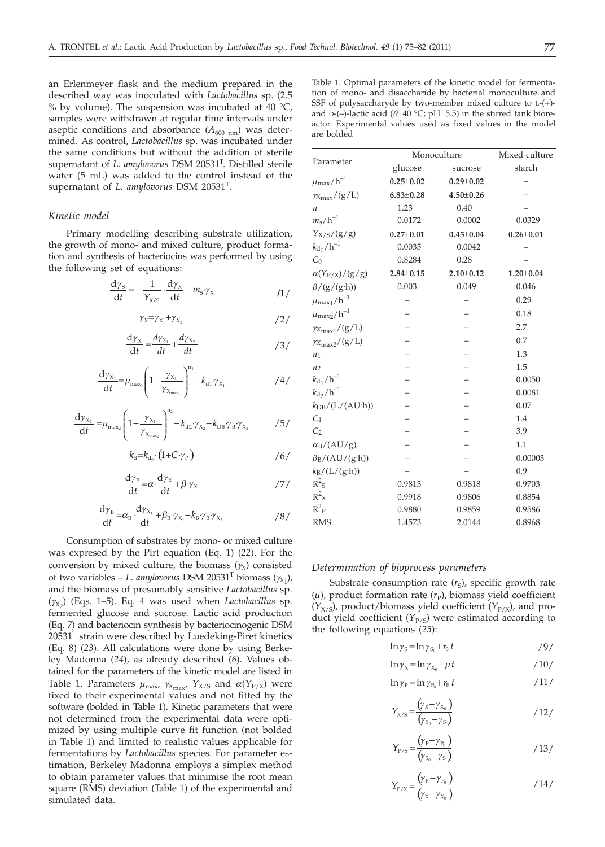an Erlenmeyer flask and the medium prepared in the described way was inoculated with *Lactobacillus* sp. (2.5 % by volume). The suspension was incubated at  $40^{\circ}$ C, samples were withdrawn at regular time intervals under aseptic conditions and absorbance  $(A_{600 \text{ nm}})$  was determined. As control, *Lactobacillus* sp. was incubated under the same conditions but without the addition of sterile supernatant of *L. amylovorus* DSM 20531T. Distilled sterile water (5 mL) was added to the control instead of the supernatant of *L. amylovorus* DSM 20531T.

# *Kinetic model*

Primary modelling describing substrate utilization, the growth of mono- and mixed culture, product formation and synthesis of bacteriocins was performed by using the following set of equations:

$$
\frac{dy_{S}}{dt} = -\frac{1}{Y_{X/S}} \cdot \frac{dy_{X}}{dt} - m_{S} \gamma_{X}
$$

$$
\gamma_{\rm X} = \gamma_{\rm X_1} + \gamma_{\rm X_2} \tag{2}
$$

$$
\frac{d\gamma_{x}}{dt} = \frac{d\gamma_{x_1}}{dt} + \frac{d\gamma_{x_2}}{dt}
$$

$$
\frac{d\gamma_{X_1}}{dt} = \mu_{\max_1} \left( 1 - \frac{\gamma_{X_1}}{\gamma_{X_{\max_1}}} \right)^{n_1} - k_{d1} \gamma_{X_1} \tag{4/2}
$$

$$
\frac{dy_{X_2}}{dt} = \mu_{\text{max}_2} \left( 1 - \frac{\gamma_{X_2}}{\gamma_{X_{\text{max}_2}}} \right)^{n_2} - k_{d2} \cdot \gamma_{X_2} - k_{DB} \cdot \gamma_B \cdot \gamma_{X_2} \tag{5/2}
$$

$$
k_{\rm d} = k_{\rm d_0} \cdot \left(1 + C \cdot \gamma_{\rm P}\right) \tag{6/}
$$

$$
\frac{\mathrm{d}\gamma_{\mathrm{P}}}{\mathrm{d}t} = \alpha \cdot \frac{\mathrm{d}\gamma_{\mathrm{X}}}{\mathrm{d}t} + \beta \cdot \gamma_{\mathrm{X}} \tag{7}
$$

$$
\frac{d\gamma_{B}}{dt} = \alpha_{B} \cdot \frac{d\gamma_{X_1}}{dt} + \beta_{B} \cdot \gamma_{X_1} - k_{B} \cdot \gamma_{B} \cdot \gamma_{X_2}
$$

Consumption of substrates by mono- or mixed culture was expresed by the Pirt equation (Eq. 1) (*22*). For the conversion by mixed culture, the biomass  $(y<sub>X</sub>)$  consisted of two variables – *L. amylovorus* DSM 20531<sup>T</sup> biomass  $(\gamma_{X_1})$ , and the biomass of presumably sensitive *Lactobacillus* sp.  $(y_{X_2})$  (Eqs. 1–5). Eq. 4 was used when *Lactobacillus* sp. fermented glucose and sucrose. Lactic acid production (Eq. 7) and bacteriocin synthesis by bacteriocinogenic DSM  $20531<sup>T</sup>$  strain were described by Luedeking-Piret kinetics (Eq. 8) (*23*). All calculations were done by using Berkeley Madonna (*24*), as already described (*6*). Values obtained for the parameters of the kinetic model are listed in Table 1. Parameters  $\mu_{\text{max}}$ ,  $\gamma_{\text{X}_{\text{max}}}$ ,  $\gamma_{\text{X/S}}$  and  $\alpha(\gamma_{\text{P/X}})$  were fixed to their experimental values and not fitted by the software (bolded in Table 1). Kinetic parameters that were not determined from the experimental data were optimized by using multiple curve fit function (not bolded in Table 1) and limited to realistic values applicable for fermentations by *Lactobacillus* species. For parameter estimation, Berkeley Madonna employs a simplex method to obtain parameter values that minimise the root mean square (RMS) deviation (Table 1) of the experimental and simulated data.

Table 1. Optimal parameters of the kinetic model for fermentation of mono- and disaccharide by bacterial monoculture and SSF of polysaccharyde by two-member mixed culture to L-(+) and D-(-)-lactic acid ( $\theta$ =40 °C; pH=5.5) in the stirred tank bioreactor. Experimental values used as fixed values in the model are bolded

| Parameter                         | Monoculture     |                 | Mixed culture   |
|-----------------------------------|-----------------|-----------------|-----------------|
|                                   | glucose         | sucrose         | starch          |
| $\mu_{\rm max}/h^{-1}$            | $0.25 \pm 0.02$ | $0.29 \pm 0.02$ |                 |
| $\gamma x_{\rm max}/(g/L)$        | $6.83 \pm 0.28$ | $4.50 \pm 0.26$ |                 |
| $\boldsymbol{n}$                  | 1.23            | 0.40            |                 |
| $m_{\rm s}/h^{-1}$                | 0.0172          | 0.0002          | 0.0329          |
| $Y_{X/S}/(g/g)$                   | $0.27 \pm 0.01$ | $0.45 \pm 0.04$ | $0.26 \pm 0.01$ |
| $k_{\rm d0}/h^{-1}$               | 0.0035          | 0.0042          |                 |
| $C_0$                             | 0.8284          | 0.28            |                 |
| $\alpha(Y_{P/X})/(g/g)$           | $2.84 \pm 0.15$ | $2.10 \pm 0.12$ | $1.20 \pm 0.04$ |
| $\beta$ /(g/(g·h))                | 0.003           | 0.049           | 0.046           |
| $\mu_{\rm max_1}/h^{-1}$          |                 |                 | 0.29            |
| $\mu_{\rm max_2}/h^{-1}$          |                 |                 | 0.18            |
| $\gamma x_{\text{max1}} / (g/L)$  |                 |                 | 2.7             |
| $\gamma_{X_{\rm max2}}/(g/L)$     |                 |                 | 0.7             |
| $n_1$                             |                 |                 | 1.3             |
| n <sub>2</sub>                    |                 |                 | 1.5             |
| $k_{d_1}/h^{-1}$                  |                 |                 | 0.0050          |
| $k_{d_2}/h^{-1}$                  |                 |                 | 0.0081          |
| $k_{\text{DB}}/(L/(\text{AU-h}))$ |                 |                 | 0.07            |
| C <sub>1</sub>                    |                 |                 | 1.4             |
| C <sub>2</sub>                    |                 |                 | 3.9             |
| $\alpha_B/(AU/g)$                 |                 |                 | 1.1             |
| $\beta_B/(AU/(g \cdot h))$        |                 |                 | 0.00003         |
| $k_B/(L/(g \cdot h))$             |                 |                 | 0.9             |
| $R^2$ s                           | 0.9813          | 0.9818          | 0.9703          |
| $R^2$ <sub>X</sub>                | 0.9918          | 0.9806          | 0.8854          |
| $R^2P$                            | 0.9880          | 0.9859          | 0.9586          |
| <b>RMS</b>                        | 1.4573          | 2.0144          | 0.8968          |

#### *Determination of bioprocess parameters*

Substrate consumption rate  $(r_S)$ , specific growth rate  $(\mu)$ , product formation rate  $(r_P)$ , biomass yield coefficient  $(Y_{X/S})$ , product/biomass yield coefficient  $(Y_{P/X})$ , and product yield coefficient  $(Y_{P/S})$  were estimated according to the following equations (*25*):

$$
\ln \gamma_{\rm s} = \ln \gamma_{\rm s_0} + r_{\rm s} t \tag{9/}
$$

$$
\ln \gamma_{\rm X} = \ln \gamma_{\rm X_0} + \mu t \tag{10}
$$

$$
\ln \gamma_{\rm P} = \ln \gamma_{\rm P_0} + r_{\rm P} t \tag{11/}
$$

$$
Y_{X/S} = \frac{(\gamma_X - \gamma_{X_0})}{(\gamma_{S_0} - \gamma_S)}
$$
 (12)

$$
\Upsilon_{P/S} = \frac{(\gamma_P - \gamma_{P_0})}{(\gamma_{S_0} - \gamma_S)}
$$
 (13)

$$
Y_{P/X} = \frac{(\gamma_P - \gamma_{P_0})}{(\gamma_X - \gamma_{X_0})}
$$
 / 14/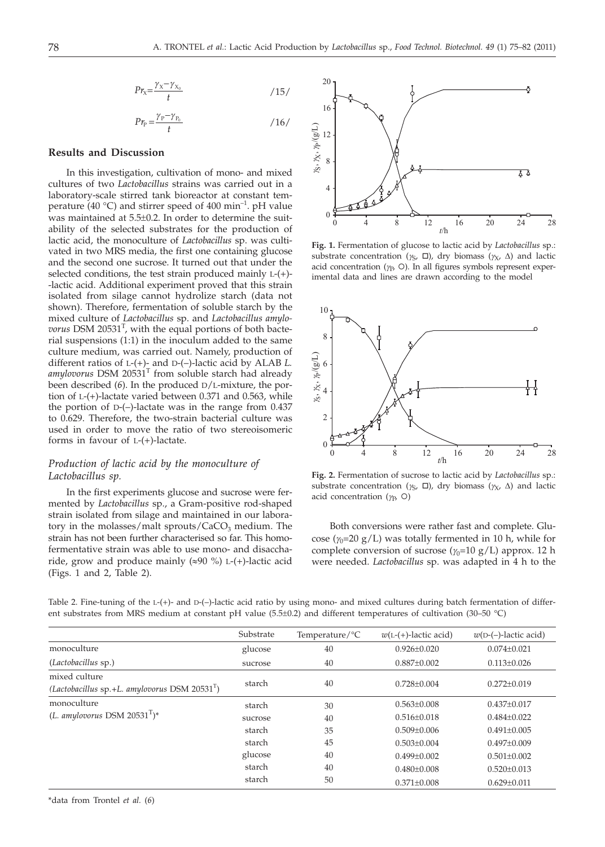$$
P r_{\rm X} = \frac{\gamma_{\rm X} - \gamma_{\rm X_0}}{t} \tag{15}
$$

$$
P r_{\rm P} = \frac{\gamma_{\rm P} - \gamma_{\rm P_0}}{t} \tag{16}
$$

# **Results and Discussion**

In this investigation, cultivation of mono- and mixed cultures of two *Lactobacillus* strains was carried out in a laboratory-scale stirred tank bioreactor at constant temperature (40 °C) and stirrer speed of 400 min<sup>-1</sup>. pH value was maintained at 5.5±0.2. In order to determine the suitability of the selected substrates for the production of lactic acid, the monoculture of *Lactobacillus* sp. was cultivated in two MRS media, the first one containing glucose and the second one sucrose. It turned out that under the selected conditions, the test strain produced mainly L-(+)- -lactic acid. Additional experiment proved that this strain isolated from silage cannot hydrolize starch (data not shown). Therefore, fermentation of soluble starch by the mixed culture of *Lactobacillus* sp. and *Lactobacillus amylo*vorus DSM 20531<sup>T</sup>, with the equal portions of both bacterial suspensions (1:1) in the inoculum added to the same culture medium, was carried out. Namely, production of different ratios of L-(+)- and D-(–)-lactic acid by ALAB *L.*  $amylovorus$  DSM  $20531<sup>T</sup>$  from soluble starch had already been described (*6*). In the produced D/L-mixture, the portion of L-(+)-lactate varied between 0.371 and 0.563, while the portion of D-(–)-lactate was in the range from 0.437 to 0.629. Therefore, the two-strain bacterial culture was used in order to move the ratio of two stereoisomeric forms in favour of  $L(-)$ -lactate.

# *Production of lactic acid by the monoculture of Lactobacillus sp.*

In the first experiments glucose and sucrose were fermented by *Lactobacillus* sp., a Gram-positive rod-shaped strain isolated from silage and maintained in our laboratory in the molasses/malt sprouts/ $CaCO<sub>3</sub>$  medium. The strain has not been further characterised so far. This homofermentative strain was able to use mono- and disaccharide, grow and produce mainly  $(\approx 90\%)$  L-(+)-lactic acid (Figs. 1 and 2, Table 2).



**Fig. 1.** Fermentation of glucose to lactic acid by *Lactobacillus* sp.: substrate concentration ( $\gamma_S$ ,  $\Box$ ), dry biomass ( $\gamma_X$ ,  $\Delta$ ) and lactic acid concentration  $(\gamma_P, \circ)$ . In all figures symbols represent experimental data and lines are drawn according to the model



**Fig. 2.** Fermentation of sucrose to lactic acid by *Lactobacillus* sp.: substrate concentration ( $\gamma_S$ ,  $\Box$ ), dry biomass ( $\gamma_X$ ,  $\Delta$ ) and lactic acid concentration  $(\gamma_P, O)$ 

Both conversions were rather fast and complete. Glucose ( $\gamma_0$ =20 g/L) was totally fermented in 10 h, while for complete conversion of sucrose  $(\gamma_0=10 \text{ g/L})$  approx. 12 h were needed. *Lactobacillus* sp. was adapted in 4 h to the

|                                                                  | Substrate | Temperature/ ${}^{\circ}C$ | $w(L-(+)$ -lactic acid) | $w(D-(-))$ -lactic acid) |
|------------------------------------------------------------------|-----------|----------------------------|-------------------------|--------------------------|
| monoculture                                                      | glucose   | 40                         | $0.926 \pm 0.020$       | $0.074 \pm 0.021$        |
| (Lactobacillus sp.)                                              | sucrose   | 40                         | $0.887 \pm 0.002$       | $0.113 \pm 0.026$        |
| mixed culture<br>(Lactobacillus sp.+L. amylovorus DSM $20531T$ ) | starch    | 40                         | $0.728 \pm 0.004$       | $0.272 \pm 0.019$        |
| monoculture                                                      | starch    | 30                         | $0.563 \pm 0.008$       | $0.437 \pm 0.017$        |
| (L. amylovorus DSM 20531 <sup>T</sup> )*                         | sucrose   | 40                         | $0.516 \pm 0.018$       | $0.484\pm0.022$          |
|                                                                  | starch    | 35                         | $0.509 + 0.006$         | $0.491 + 0.005$          |
|                                                                  | starch    | 45                         | $0.503 + 0.004$         | $0.497+0.009$            |
|                                                                  | glucose   | 40                         | $0.499 + 0.002$         | $0.501 \pm 0.002$        |
|                                                                  | starch    | 40                         | $0.480 \pm 0.008$       | $0.520 \pm 0.013$        |
|                                                                  | starch    | 50                         | $0.371 \pm 0.008$       | $0.629 \pm 0.011$        |
|                                                                  |           |                            |                         |                          |

Table 2. Fine-tuning of the L-(+)- and D-(-)-lactic acid ratio by using mono- and mixed cultures during batch fermentation of different substrates from MRS medium at constant pH value (5.5±0.2) and different temperatures of cultivation (30–50 °C)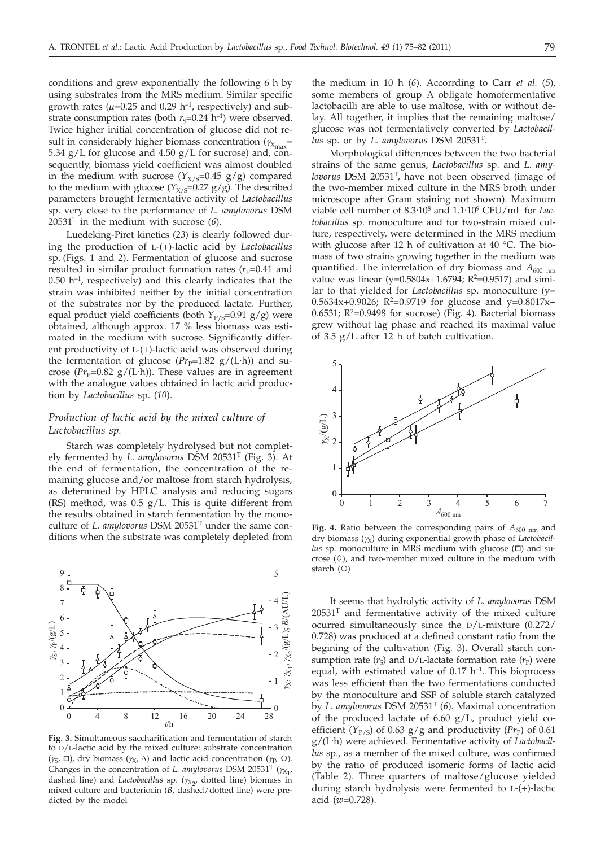conditions and grew exponentially the following 6 h by using substrates from the MRS medium. Similar specific growth rates ( $\mu$ =0.25 and 0.29 h<sup>-1</sup>, respectively) and substrate consumption rates (both  $r_s=0.24$  h<sup>-1</sup>) were observed. Twice higher initial concentration of glucose did not result in considerably higher biomass concentration ( $\gamma_{\text{X}_{\text{max}}}$ = 5.34  $g/L$  for glucose and 4.50  $g/L$  for sucrose) and, consequently, biomass yield coefficient was almost doubled in the medium with sucrose  $(Y_{X/S}=0.45 \text{ g/g})$  compared to the medium with glucose  $(Y_{X/S}=0.27 \text{ g/g})$ . The described parameters brought fermentative activity of *Lactobacillus* sp. very close to the performance of *L. amylovorus* DSM 20531T in the medium with sucrose (*6*).

Luedeking-Piret kinetics (*23*) is clearly followed during the production of L-(+)-lactic acid by *Lactobacillus* sp. (Figs. 1 and 2). Fermentation of glucose and sucrose resulted in similar product formation rates  $(r_P=0.41$  and  $0.50$  h<sup>-1</sup>, respectively) and this clearly indicates that the strain was inhibited neither by the initial concentration of the substrates nor by the produced lactate. Further, equal product yield coefficients (both  $Y_{P/S}=0.91$  g/g) were obtained, although approx. 17 % less biomass was estimated in the medium with sucrose. Significantly different productivity of L-(+)-lactic acid was observed during the fermentation of glucose  $(Pr_{p}=1.82 \text{ g/(L·h)})$  and sucrose ( $Pr_p$ =0.82 g/(L·h)). These values are in agreement with the analogue values obtained in lactic acid production by *Lactobacillus* sp. (*10*).

# *Production of lactic acid by the mixed culture of Lactobacillus sp.*

Starch was completely hydrolysed but not completely fermented by *L. amylovorus* DSM 20531T (Fig. 3). At the end of fermentation, the concentration of the remaining glucose and/or maltose from starch hydrolysis, as determined by HPLC analysis and reducing sugars (RS) method, was 0.5 g/L. This is quite different from the results obtained in starch fermentation by the monoculture of *L. amylovorus* DSM 20531T under the same conditions when the substrate was completely depleted from



**Fig. 3.** Simultaneous saccharification and fermentation of starch to D/L-lactic acid by the mixed culture: substrate concentration  $(\gamma_S, \Box)$ , dry biomass  $(\gamma_X, \Delta)$  and lactic acid concentration  $(\gamma_P, \Omega)$ . Changes in the concentration of *L. amylovorus* DSM 20531<sup>T</sup> ( $\gamma_{X_1}$ , dashed line) and *Lactobacillus* sp. ( $\gamma_{X_2}$ , dotted line) biomass in mixed culture and bacteriocin (*B*, dashed/dotted line) were predicted by the model

the medium in 10 h (*6*). Accorrding to Carr *et al.* (*5*), some members of group A obligate homofermentative lactobacilli are able to use maltose, with or without delay. All together, it implies that the remaining maltose/ glucose was not fermentatively converted by *Lactobacillus* sp. or by *L. amylovorus* DSM 20531T.

Morphological differences between the two bacterial strains of the same genus, *Lactobacillus* sp. and *L. amylovorus* DSM 20531T, have not been observed (image of the two-member mixed culture in the MRS broth under microscope after Gram staining not shown). Maximum viable cell number of 8.3<sup>.</sup>10<sup>8</sup> and 1.1<sup>.</sup>10<sup>9</sup> CFU/mL for *Lactobacillus* sp. monoculture and for two-strain mixed culture, respectively, were determined in the MRS medium with glucose after 12 h of cultivation at 40 °C. The biomass of two strains growing together in the medium was quantified. The interrelation of dry biomass and  $A_{600 \text{ nm}}$ value was linear (y= $0.5804x+1.6794$ ; R<sup>2</sup>= $0.9517$ ) and similar to that yielded for *Lactobacillus* sp. monoculture (y= 0.5634x+0.9026;  $R^2$ =0.9719 for glucose and y=0.8017x+ 0.6531;  $R^2$ =0.9498 for sucrose) (Fig. 4). Bacterial biomass grew without lag phase and reached its maximal value of 3.5 g/L after 12 h of batch cultivation.



Fig. 4. Ratio between the corresponding pairs of  $A_{600 \text{ nm}}$  and dry biomass (*g*X) during exponential growth phase of *Lactobacillus* sp. monoculture in MRS medium with glucose  $(\Box)$  and sucrose  $(\Diamond)$ , and two-member mixed culture in the medium with starch  $(O)$ 

It seems that hydrolytic activity of *L. amylovorus* DSM  $20531<sup>T</sup>$  and fermentative activity of the mixed culture ocurred simultaneously since the D/L-mixture (0.272/ 0.728) was produced at a defined constant ratio from the begining of the cultivation (Fig. 3). Overall starch consumption rate  $(r_S)$  and  $D/L$ -lactate formation rate  $(r_P)$  were equal, with estimated value of  $0.17$  h<sup>-1</sup>. This bioprocess was less efficient than the two fermentations conducted by the monoculture and SSF of soluble starch catalyzed by *L. amylovorus* DSM 20531T (*6*). Maximal concentration of the produced lactate of 6.60 g/L, product yield coefficient ( $Y_{P/S}$ ) of 0.63 g/g and productivity ( $Pr_{P}$ ) of 0.61 g/(L. h) were achieved. Fermentative activity of *Lactobacillus* sp., as a member of the mixed culture, was confirmed by the ratio of produced isomeric forms of lactic acid (Table 2). Three quarters of maltose/glucose yielded during starch hydrolysis were fermented to L-(+)-lactic acid (*w*=0.728).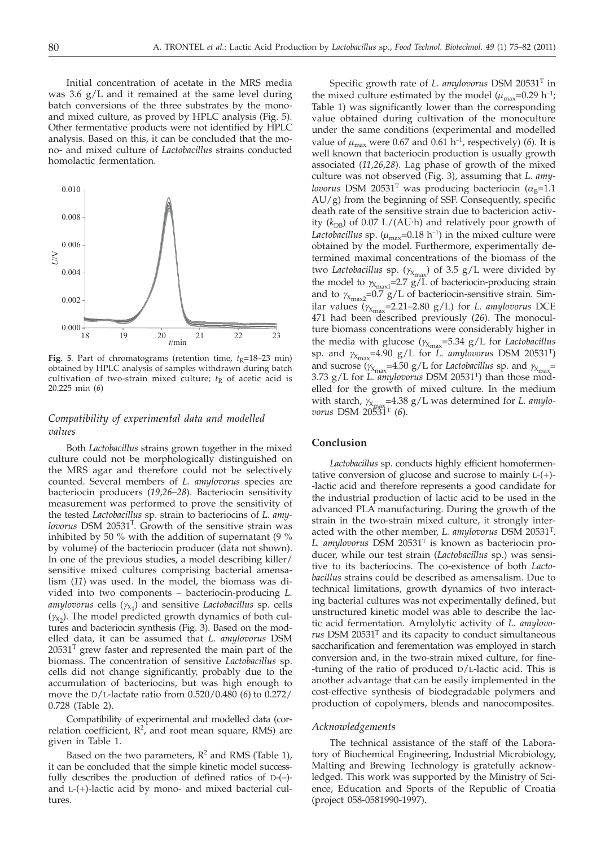Initial concentration of acetate in the MRS media was 3.6 g/L and it remained at the same level during batch conversions of the three substrates by the monoand mixed culture, as proved by HPLC analysis (Fig. 5). Other fermentative products were not identified by HPLC analysis. Based on this, it can be concluded that the mono- and mixed culture of *Lactobacillus* strains conducted homolactic fermentation.



**Fig. 5**. Part of chromatograms (retention time,  $t_R$ =18–23 min) obtained by HPLC analysis of samples withdrawn during batch cultivation of two-strain mixed culture;  $t<sub>R</sub>$  of acetic acid is 20.225 min (*6*)

# *Compatibility of experimental data and modelled values*

Both *Lactobacillus* strains grown together in the mixed culture could not be morphologically distinguished on the MRS agar and therefore could not be selectively counted. Several members of *L. amylovorus* species are bacteriocin producers (*19,26–28*). Bacteriocin sensitivity measurement was performed to prove the sensitivity of the tested *Lactobacillus* sp. strain to bacteriocins of *L. amy*lovorus DSM 20531<sup>T</sup>. Growth of the sensitive strain was inhibited by 50 % with the addition of supernatant (9 % by volume) of the bacteriocin producer (data not shown). In one of the previous studies, a model describing killer/ sensitive mixed cultures comprising bacterial amensalism (*11*) was used. In the model, the biomass was divided into two components – bacteriocin-producing *L. amylovorus* cells (*g*X1 ) and sensitive *Lactobacillus* sp. cells  $(y_{x_2})$ . The model predicted growth dynamics of both cultures and bacteriocin synthesis (Fig. 3). Based on the modelled data, it can be assumed that *L. amylovorus* DSM  $20531<sup>T</sup>$  grew faster and represented the main part of the biomass. The concentration of sensitive *Lactobacillus* sp. cells did not change significantly, probably due to the accumulation of bacteriocins, but was high enough to move the D/L-lactate ratio from 0.520/0.480 (*6*) to 0.272/ 0.728 (Table 2).

Compatibility of experimental and modelled data (correlation coefficient,  $R^2$ , and root mean square, RMS) are given in Table 1.

Based on the two parameters,  $R^2$  and RMS (Table 1), it can be concluded that the simple kinetic model successfully describes the production of defined ratios of D-(–) and L-(+)-lactic acid by mono- and mixed bacterial cultures.

Specific growth rate of *L. amylovorus* DSM 20531T in the mixed culture estimated by the model  $(\mu_{\text{max}}=0.29 \text{ h}^{-1})$ ; Table 1) was significantly lower than the corresponding value obtained during cultivation of the monoculture under the same conditions (experimental and modelled value of  $\mu_{\text{max}}$  were 0.67 and 0.61 h<sup>-1</sup>, respectively) (6). It is well known that bacteriocin production is usually growth associated (*11,26,28*). Lag phase of growth of the mixed culture was not observed (Fig. 3), assuming that *L. amylovorus* DSM 20531<sup>T</sup> was producing bacteriocin ( $\alpha_B$ =1.1  $AU/g$ ) from the beginning of SSF. Consequently, specific death rate of the sensitive strain due to bactericion activity ( $k_{\text{DB}}$ ) of 0.07 L/(AU·h) and relatively poor growth of *Lactobacillus* sp.  $(\mu_{\text{max}}=0.18 \text{ h}^{-1})$  in the mixed culture were obtained by the model. Furthermore, experimentally determined maximal concentrations of the biomass of the two *Lactobacillus* sp. ( $\gamma_{X_{\text{max}}}$ ) of 3.5 g/L were divided by the model to  $\gamma_{X_{\text{max}}}=2.7 \text{ g/L}$  of bacteriocin-producing strain and to  $\gamma_{X_{\text{max2}}=0.7 \text{ g/L}}$  of bacteriocin-sensitive strain. Similar values ( $\gamma_{X_{\text{max}}}$ =2.21–2.80 g/L) for *L. amylovorus* DCE 471 had been described previously (*26*). The monoculture biomass concentrations were considerably higher in the media with glucose ( $\gamma_{\text{max}}$ =5.34 g/L for *Lactobacillus*  $\epsilon$ sp. and  $\gamma_{X_{\rm max}}$ =4.90 g/L for *L. amylovorus* DSM 20531<sup>T</sup>) and sucrose  $(\gamma_{X_{\text{max}}}=4.50 \text{ g/L}$  for *Lactobacillus* sp. and  $\gamma_{X_{\text{max}}}$ 3.73 g/L for *L. amylovorus* DSM 20531T) than those modelled for the growth of mixed culture. In the medium with starch,  $\gamma_{X_{\text{max}}}$ =4.38 g/L was determined for *L. amylovorus* DSM 20531T (*6*).

# **Conclusion**

*Lactobacillus* sp. conducts highly efficient homofermentative conversion of glucose and sucrose to mainly L-(+)- -lactic acid and therefore represents a good candidate for the industrial production of lactic acid to be used in the advanced PLA manufacturing. During the growth of the strain in the two-strain mixed culture, it strongly interacted with the other member, *L. amylovorus* DSM 20531T. *L. amylovorus* DSM 20531T is known as bacteriocin producer, while our test strain (*Lactobacillus* sp.) was sensitive to its bacteriocins. The co-existence of both *Lactobacillus* strains could be described as amensalism. Due to technical limitations, growth dynamics of two interacting bacterial cultures was not experimentally defined, but unstructured kinetic model was able to describe the lactic acid fermentation. Amylolytic activity of *L. amylovorus* DSM 20531T and its capacity to conduct simultaneous saccharification and ferementation was employed in starch conversion and, in the two-strain mixed culture, for fine- -tuning of the ratio of produced D/L-lactic acid. This is another advantage that can be easily implemented in the cost-effective synthesis of biodegradable polymers and production of copolymers, blends and nanocomposites.

### *Acknowledgements*

The technical assistance of the staff of the Laboratory of Biochemical Engineering, Industrial Microbiology, Malting and Brewing Technology is gratefully acknowledged. This work was supported by the Ministry of Science, Education and Sports of the Republic of Croatia (project 058-0581990-1997).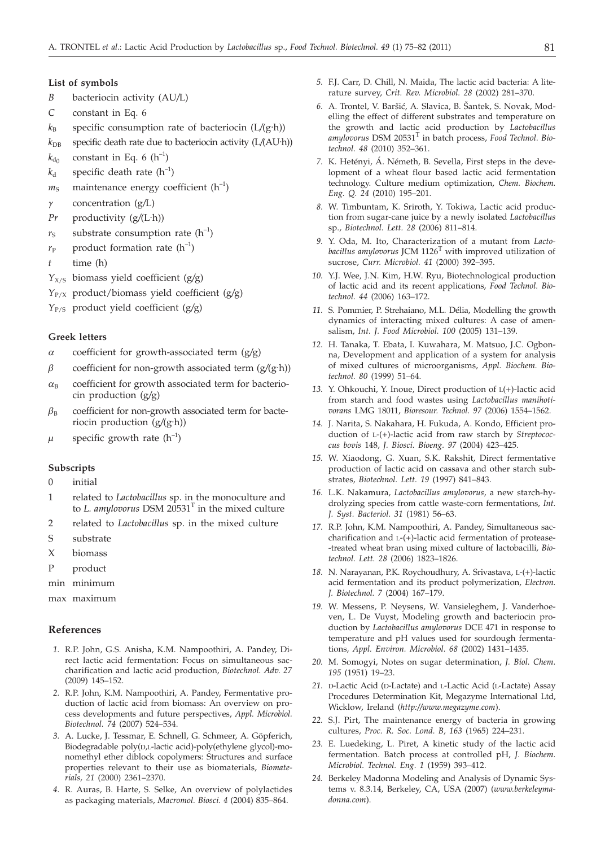#### **List of symbols**

- *B* bacteriocin activity (AU*/*L)
- *C* constant in Eq. 6
- $k_B$  specific consumption rate of bacteriocin (L/(g·h))
- $k_{\text{DB}}$  specific death rate due to bacteriocin activity (L/(AU·h))
- $k_{\text{do}}$  constant in Eq. 6 (h<sup>-1</sup>)
- $k_d$  specific death rate  $(h^{-1})$
- $m<sub>S</sub>$  maintenance energy coefficient  $(h<sup>-1</sup>)$
- *g* concentration (g*/*L)
- *Pr* productivity (g*/*(L. h))
- $r<sub>S</sub>$  substrate consumption rate  $(h<sup>-1</sup>)$
- $r_P$  product formation rate  $(h^{-1})$
- *t* time (h)
- *Y*X/S biomass yield coefficient (g*/*g)
- *Y*P/X product/biomass yield coefficient (g*/*g)
- *Y*P/S product yield coefficient (g*/*g)

## **Greek letters**

- *a* coefficient for growth-associated term (g*/*g)
- $\beta$  coefficient for non-growth associated term ( $g/(g \cdot h)$ )
- $\alpha_B$  coefficient for growth associated term for bacteriocin production (g*/*g)
- $\beta_B$  coefficient for non-growth associated term for bacteriocin production (g/(g·h))
- $\mu$  specific growth rate (h<sup>-1</sup>)

## **Subscripts**

- 0 initial
- 1 related to *Lactobacillus* sp. in the monoculture and to *L. amylovorus* DSM  $20531<sup>T</sup>$  in the mixed culture
- 2 related to *Lactobacillus* sp. in the mixed culture
- S substrate
- X biomass
- P product
- min minimum
- max maximum

## **References**

- *1.* R.P. John, G.S. Anisha, K.M. Nampoothiri, A. Pandey, Direct lactic acid fermentation: Focus on simultaneous saccharification and lactic acid production, *Biotechnol. Adv. 27* (2009) 145–152.
- *2.* R.P. John, K.M. Nampoothiri, A. Pandey, Fermentative production of lactic acid from biomass: An overview on process developments and future perspectives, *Appl. Microbiol. Biotechnol. 74* (2007) 524–534.
- *3.* A. Lucke, J. Tessmar, E. Schnell, G. Schmeer, A. Göpferich, Biodegradable poly(D,L-lactic acid)-poly(ethylene glycol)-monomethyl ether diblock copolymers: Structures and surface properties relevant to their use as biomaterials, *Biomaterials, 21* (2000) 2361–2370.
- *4.* R. Auras, B. Harte, S. Selke, An overview of polylactides as packaging materials, *Macromol. Biosci. 4* (2004) 835–864.
- *5.* F.J. Carr, D. Chill, N. Maida, The lactic acid bacteria: A literature survey, *Crit. Rev. Microbiol. 28* (2002) 281–370.
- 6. A. Trontel, V. Baršić, A. Slavica, B. Šantek, S. Novak, Modelling the effect of different substrates and temperature on the growth and lactic acid production by *Lactobacillus amylovorus* DSM 20531<sup>T</sup> in batch process, *Food Technol. Biotechnol. 48* (2010) 352–361.
- *7.* K. Hetényi, Á. Németh, B. Sevella, First steps in the development of a wheat flour based lactic acid fermentation technology. Culture medium optimization, *Chem. Biochem. Eng. Q. 24* (2010) 195–201.
- *8.* W. Timbuntam, K. Sriroth, Y. Tokiwa, Lactic acid production from sugar-cane juice by a newly isolated *Lactobacillus* sp., *Biotechnol. Lett. 28* (2006) 811–814.
- *9.* Y. Oda, M. Ito, Characterization of a mutant from *Lacto*bacillus amylovorus JCM 1126<sup>T</sup> with improved utilization of sucrose, *Curr. Microbiol. 41* (2000) 392–395.
- *10.* Y.J. Wee, J.N. Kim, H.W. Ryu, Biotechnological production of lactic acid and its recent applications, *Food Technol. Biotechnol. 44* (2006) 163–172.
- *11.* S. Pommier, P. Strehaiano, M.L. Délia, Modelling the growth dynamics of interacting mixed cultures: A case of amensalism, *Int. J. Food Microbiol. 100* (2005) 131–139.
- *12.* H. Tanaka, T. Ebata, I. Kuwahara, M. Matsuo, J.C. Ogbonna, Development and application of a system for analysis of mixed cultures of microorganisms, *Appl. Biochem. Biotechnol. 80* (1999) 51–64.
- *13.* Y. Ohkouchi, Y. Inoue, Direct production of L(+)-lactic acid from starch and food wastes using *Lactobacillus manihotivorans* LMG 18011, *Bioresour. Technol. 97* (2006) 1554–1562.
- *14.* J. Narita, S. Nakahara, H. Fukuda, A. Kondo, Efficient production of L-(+)-lactic acid from raw starch by *Streptococcus bovis* 148, *J. Biosci. Bioeng. 97* (2004) 423–425.
- *15.* W. Xiaodong, G. Xuan, S.K. Rakshit, Direct fermentative production of lactic acid on cassava and other starch substrates, *Biotechnol. Lett. 19* (1997) 841–843.
- *16.* L.K. Nakamura, *Lactobacillus amylovorus*, a new starch-hydrolyzing species from cattle waste-corn fermentations, *Int. J. Syst. Bacteriol. 31* (1981) 56–63.
- *17.* R.P. John, K.M. Nampoothiri, A. Pandey, Simultaneous saccharification and L-(+)-lactic acid fermentation of protease- -treated wheat bran using mixed culture of lactobacilli*, Biotechnol. Lett. 28* (2006) 1823–1826.
- *18.* N. Narayanan, P.K. Roychoudhury, A. Srivastava, L-(+)-lactic acid fermentation and its product polymerization, *Electron. J. Biotechnol. 7* (2004) 167–179.
- *19.* W. Messens, P. Neysens, W. Vansieleghem, J. Vanderhoeven, L. De Vuyst, Modeling growth and bacteriocin production by *Lactobacillus amylovorus* DCE 471 in response to temperature and pH values used for sourdough fermentations*, Appl. Environ. Microbiol. 68* (2002) 1431–1435.
- *20.* M. Somogyi, Notes on sugar determination, *J. Biol. Chem. 195* (1951) 19–23.
- *21.* D-Lactic Acid (D-Lactate) and L-Lactic Acid (L-Lactate) Assay Procedures Determination Kit, Megazyme International Ltd, Wicklow, Ireland (*http://www.megazyme.com*).
- *22.* S.J. Pirt, The maintenance energy of bacteria in growing cultures, *Proc. R. Soc. Lond. B, 163* (1965) 224–231.
- *23.* E. Luedeking, L. Piret, A kinetic study of the lactic acid fermentation. Batch process at controlled pH, *J. Biochem. Microbiol. Technol. Eng. 1* (1959) 393–412.
- *24.* Berkeley Madonna Modeling and Analysis of Dynamic Systems v. 8.3.14, Berkeley, CA, USA (2007) (*www.berkeleymadonna.com*).